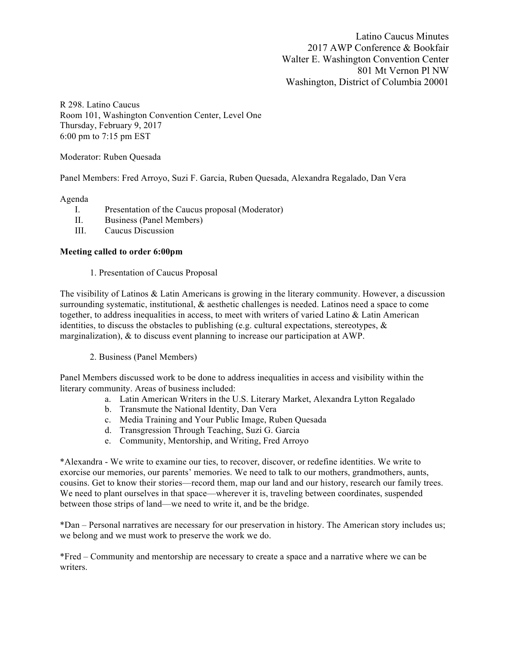Latino Caucus Minutes 2017 AWP Conference & Bookfair Walter E. Washington Convention Center 801 Mt Vernon Pl NW Washington, District of Columbia 20001

R 298. Latino Caucus Room 101, Washington Convention Center, Level One Thursday, February 9, 2017 6:00 pm to 7:15 pm EST

Moderator: Ruben Quesada

Panel Members: Fred Arroyo, Suzi F. Garcia, Ruben Quesada, Alexandra Regalado, Dan Vera

## Agenda

- I. Presentation of the Caucus proposal (Moderator)
- II. Business (Panel Members)
- III. Caucus Discussion

## **Meeting called to order 6:00pm**

1. Presentation of Caucus Proposal

The visibility of Latinos & Latin Americans is growing in the literary community. However, a discussion surrounding systematic, institutional, & aesthetic challenges is needed. Latinos need a space to come together, to address inequalities in access, to meet with writers of varied Latino & Latin American identities, to discuss the obstacles to publishing (e.g. cultural expectations, stereotypes,  $\&$ marginalization), & to discuss event planning to increase our participation at AWP.

2. Business (Panel Members)

Panel Members discussed work to be done to address inequalities in access and visibility within the literary community. Areas of business included:

- a. Latin American Writers in the U.S. Literary Market, Alexandra Lytton Regalado
- b. Transmute the National Identity, Dan Vera
- c. Media Training and Your Public Image, Ruben Quesada
- d. Transgression Through Teaching, Suzi G. Garcia
- e. Community, Mentorship, and Writing, Fred Arroyo

\*Alexandra - We write to examine our ties, to recover, discover, or redefine identities. We write to exorcise our memories, our parents' memories. We need to talk to our mothers, grandmothers, aunts, cousins. Get to know their stories—record them, map our land and our history, research our family trees. We need to plant ourselves in that space—wherever it is, traveling between coordinates, suspended between those strips of land—we need to write it, and be the bridge.

\*Dan – Personal narratives are necessary for our preservation in history. The American story includes us; we belong and we must work to preserve the work we do.

\*Fred – Community and mentorship are necessary to create a space and a narrative where we can be writers.